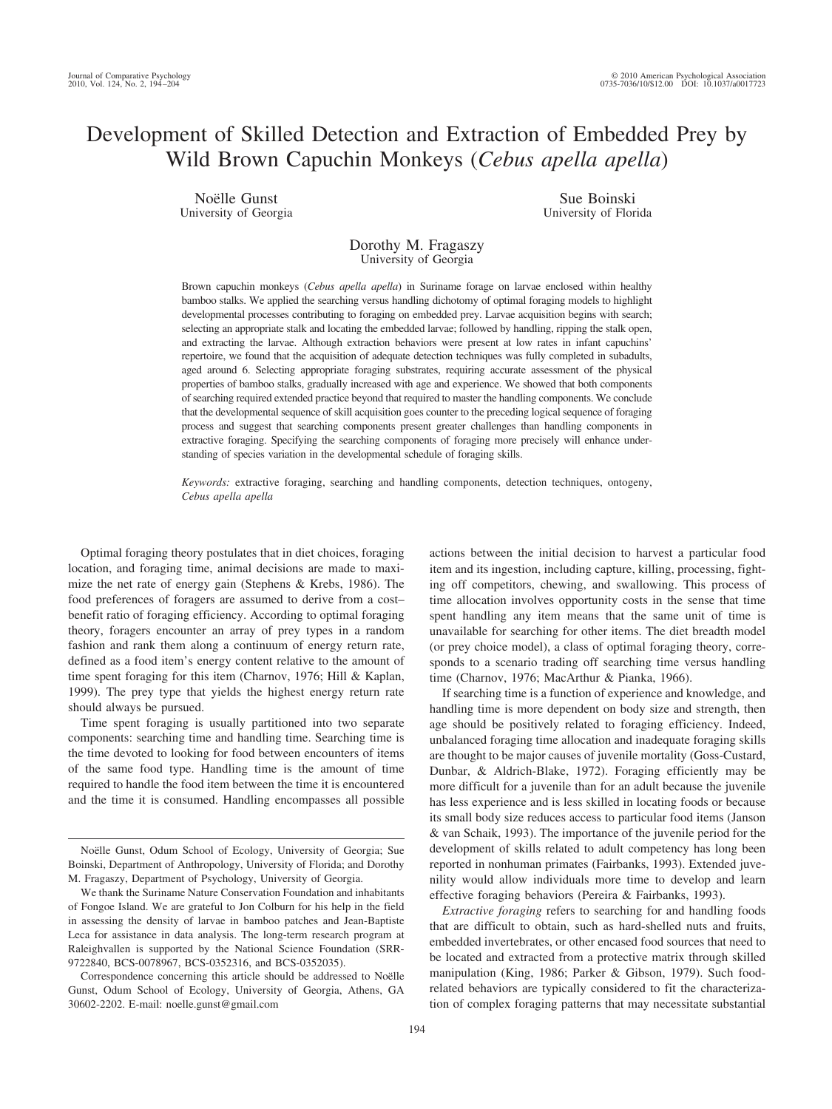# Development of Skilled Detection and Extraction of Embedded Prey by Wild Brown Capuchin Monkeys (*Cebus apella apella*)

Noëlle Gunst University of Georgia

Sue Boinski University of Florida

Dorothy M. Fragaszy University of Georgia

Brown capuchin monkeys (*Cebus apella apella*) in Suriname forage on larvae enclosed within healthy bamboo stalks. We applied the searching versus handling dichotomy of optimal foraging models to highlight developmental processes contributing to foraging on embedded prey. Larvae acquisition begins with search; selecting an appropriate stalk and locating the embedded larvae; followed by handling, ripping the stalk open, and extracting the larvae. Although extraction behaviors were present at low rates in infant capuchins' repertoire, we found that the acquisition of adequate detection techniques was fully completed in subadults, aged around 6. Selecting appropriate foraging substrates, requiring accurate assessment of the physical properties of bamboo stalks, gradually increased with age and experience. We showed that both components of searching required extended practice beyond that required to master the handling components. We conclude that the developmental sequence of skill acquisition goes counter to the preceding logical sequence of foraging process and suggest that searching components present greater challenges than handling components in extractive foraging. Specifying the searching components of foraging more precisely will enhance understanding of species variation in the developmental schedule of foraging skills.

*Keywords:* extractive foraging, searching and handling components, detection techniques, ontogeny, *Cebus apella apella*

Optimal foraging theory postulates that in diet choices, foraging location, and foraging time, animal decisions are made to maximize the net rate of energy gain (Stephens & Krebs, 1986). The food preferences of foragers are assumed to derive from a cost– benefit ratio of foraging efficiency. According to optimal foraging theory, foragers encounter an array of prey types in a random fashion and rank them along a continuum of energy return rate, defined as a food item's energy content relative to the amount of time spent foraging for this item (Charnov, 1976; Hill & Kaplan, 1999). The prey type that yields the highest energy return rate should always be pursued.

Time spent foraging is usually partitioned into two separate components: searching time and handling time. Searching time is the time devoted to looking for food between encounters of items of the same food type. Handling time is the amount of time required to handle the food item between the time it is encountered and the time it is consumed. Handling encompasses all possible

Correspondence concerning this article should be addressed to Noëlle Gunst, Odum School of Ecology, University of Georgia, Athens, GA 30602-2202. E-mail: noelle.gunst@gmail.com

item and its ingestion, including capture, killing, processing, fighting off competitors, chewing, and swallowing. This process of time allocation involves opportunity costs in the sense that time spent handling any item means that the same unit of time is unavailable for searching for other items. The diet breadth model (or prey choice model), a class of optimal foraging theory, corresponds to a scenario trading off searching time versus handling time (Charnov, 1976; MacArthur & Pianka, 1966). If searching time is a function of experience and knowledge, and

actions between the initial decision to harvest a particular food

handling time is more dependent on body size and strength, then age should be positively related to foraging efficiency. Indeed, unbalanced foraging time allocation and inadequate foraging skills are thought to be major causes of juvenile mortality (Goss-Custard, Dunbar, & Aldrich-Blake, 1972). Foraging efficiently may be more difficult for a juvenile than for an adult because the juvenile has less experience and is less skilled in locating foods or because its small body size reduces access to particular food items (Janson & van Schaik, 1993). The importance of the juvenile period for the development of skills related to adult competency has long been reported in nonhuman primates (Fairbanks, 1993). Extended juvenility would allow individuals more time to develop and learn effective foraging behaviors (Pereira & Fairbanks, 1993).

*Extractive foraging* refers to searching for and handling foods that are difficult to obtain, such as hard-shelled nuts and fruits, embedded invertebrates, or other encased food sources that need to be located and extracted from a protective matrix through skilled manipulation (King, 1986; Parker & Gibson, 1979). Such foodrelated behaviors are typically considered to fit the characterization of complex foraging patterns that may necessitate substantial

Noëlle Gunst, Odum School of Ecology, University of Georgia; Sue Boinski, Department of Anthropology, University of Florida; and Dorothy M. Fragaszy, Department of Psychology, University of Georgia.

We thank the Suriname Nature Conservation Foundation and inhabitants of Fongoe Island. We are grateful to Jon Colburn for his help in the field in assessing the density of larvae in bamboo patches and Jean-Baptiste Leca for assistance in data analysis. The long-term research program at Raleighvallen is supported by the National Science Foundation (SRR-9722840, BCS-0078967, BCS-0352316, and BCS-0352035).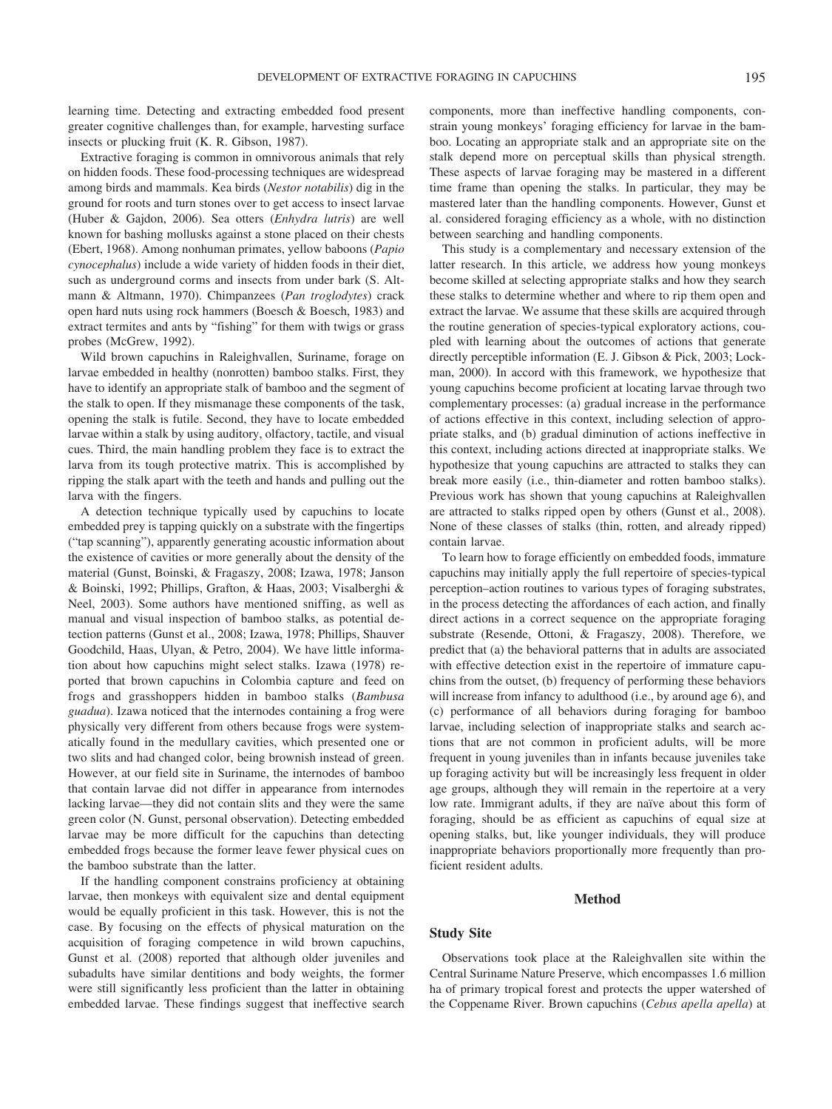learning time. Detecting and extracting embedded food present greater cognitive challenges than, for example, harvesting surface insects or plucking fruit (K. R. Gibson, 1987).

Extractive foraging is common in omnivorous animals that rely on hidden foods. These food-processing techniques are widespread among birds and mammals. Kea birds (*Nestor notabilis*) dig in the ground for roots and turn stones over to get access to insect larvae (Huber & Gajdon, 2006). Sea otters (*Enhydra lutris*) are well known for bashing mollusks against a stone placed on their chests (Ebert, 1968). Among nonhuman primates, yellow baboons (*Papio cynocephalus*) include a wide variety of hidden foods in their diet, such as underground corms and insects from under bark (S. Altmann & Altmann, 1970). Chimpanzees (*Pan troglodytes*) crack open hard nuts using rock hammers (Boesch & Boesch, 1983) and extract termites and ants by "fishing" for them with twigs or grass probes (McGrew, 1992).

Wild brown capuchins in Raleighvallen, Suriname, forage on larvae embedded in healthy (nonrotten) bamboo stalks. First, they have to identify an appropriate stalk of bamboo and the segment of the stalk to open. If they mismanage these components of the task, opening the stalk is futile. Second, they have to locate embedded larvae within a stalk by using auditory, olfactory, tactile, and visual cues. Third, the main handling problem they face is to extract the larva from its tough protective matrix. This is accomplished by ripping the stalk apart with the teeth and hands and pulling out the larva with the fingers.

A detection technique typically used by capuchins to locate embedded prey is tapping quickly on a substrate with the fingertips ("tap scanning"), apparently generating acoustic information about the existence of cavities or more generally about the density of the material (Gunst, Boinski, & Fragaszy, 2008; Izawa, 1978; Janson & Boinski, 1992; Phillips, Grafton, & Haas, 2003; Visalberghi & Neel, 2003). Some authors have mentioned sniffing, as well as manual and visual inspection of bamboo stalks, as potential detection patterns (Gunst et al., 2008; Izawa, 1978; Phillips, Shauver Goodchild, Haas, Ulyan, & Petro, 2004). We have little information about how capuchins might select stalks. Izawa (1978) reported that brown capuchins in Colombia capture and feed on frogs and grasshoppers hidden in bamboo stalks (*Bambusa guadua*). Izawa noticed that the internodes containing a frog were physically very different from others because frogs were systematically found in the medullary cavities, which presented one or two slits and had changed color, being brownish instead of green. However, at our field site in Suriname, the internodes of bamboo that contain larvae did not differ in appearance from internodes lacking larvae—they did not contain slits and they were the same green color (N. Gunst, personal observation). Detecting embedded larvae may be more difficult for the capuchins than detecting embedded frogs because the former leave fewer physical cues on the bamboo substrate than the latter.

If the handling component constrains proficiency at obtaining larvae, then monkeys with equivalent size and dental equipment would be equally proficient in this task. However, this is not the case. By focusing on the effects of physical maturation on the acquisition of foraging competence in wild brown capuchins, Gunst et al. (2008) reported that although older juveniles and subadults have similar dentitions and body weights, the former were still significantly less proficient than the latter in obtaining embedded larvae. These findings suggest that ineffective search components, more than ineffective handling components, constrain young monkeys' foraging efficiency for larvae in the bamboo. Locating an appropriate stalk and an appropriate site on the stalk depend more on perceptual skills than physical strength. These aspects of larvae foraging may be mastered in a different time frame than opening the stalks. In particular, they may be mastered later than the handling components. However, Gunst et al. considered foraging efficiency as a whole, with no distinction between searching and handling components.

This study is a complementary and necessary extension of the latter research. In this article, we address how young monkeys become skilled at selecting appropriate stalks and how they search these stalks to determine whether and where to rip them open and extract the larvae. We assume that these skills are acquired through the routine generation of species-typical exploratory actions, coupled with learning about the outcomes of actions that generate directly perceptible information (E. J. Gibson & Pick, 2003; Lockman, 2000). In accord with this framework, we hypothesize that young capuchins become proficient at locating larvae through two complementary processes: (a) gradual increase in the performance of actions effective in this context, including selection of appropriate stalks, and (b) gradual diminution of actions ineffective in this context, including actions directed at inappropriate stalks. We hypothesize that young capuchins are attracted to stalks they can break more easily (i.e., thin-diameter and rotten bamboo stalks). Previous work has shown that young capuchins at Raleighvallen are attracted to stalks ripped open by others (Gunst et al., 2008). None of these classes of stalks (thin, rotten, and already ripped) contain larvae.

To learn how to forage efficiently on embedded foods, immature capuchins may initially apply the full repertoire of species-typical perception–action routines to various types of foraging substrates, in the process detecting the affordances of each action, and finally direct actions in a correct sequence on the appropriate foraging substrate (Resende, Ottoni, & Fragaszy, 2008). Therefore, we predict that (a) the behavioral patterns that in adults are associated with effective detection exist in the repertoire of immature capuchins from the outset, (b) frequency of performing these behaviors will increase from infancy to adulthood (i.e., by around age 6), and (c) performance of all behaviors during foraging for bamboo larvae, including selection of inappropriate stalks and search actions that are not common in proficient adults, will be more frequent in young juveniles than in infants because juveniles take up foraging activity but will be increasingly less frequent in older age groups, although they will remain in the repertoire at a very low rate. Immigrant adults, if they are naïve about this form of foraging, should be as efficient as capuchins of equal size at opening stalks, but, like younger individuals, they will produce inappropriate behaviors proportionally more frequently than proficient resident adults.

#### **Method**

#### **Study Site**

Observations took place at the Raleighvallen site within the Central Suriname Nature Preserve, which encompasses 1.6 million ha of primary tropical forest and protects the upper watershed of the Coppename River. Brown capuchins (*Cebus apella apella*) at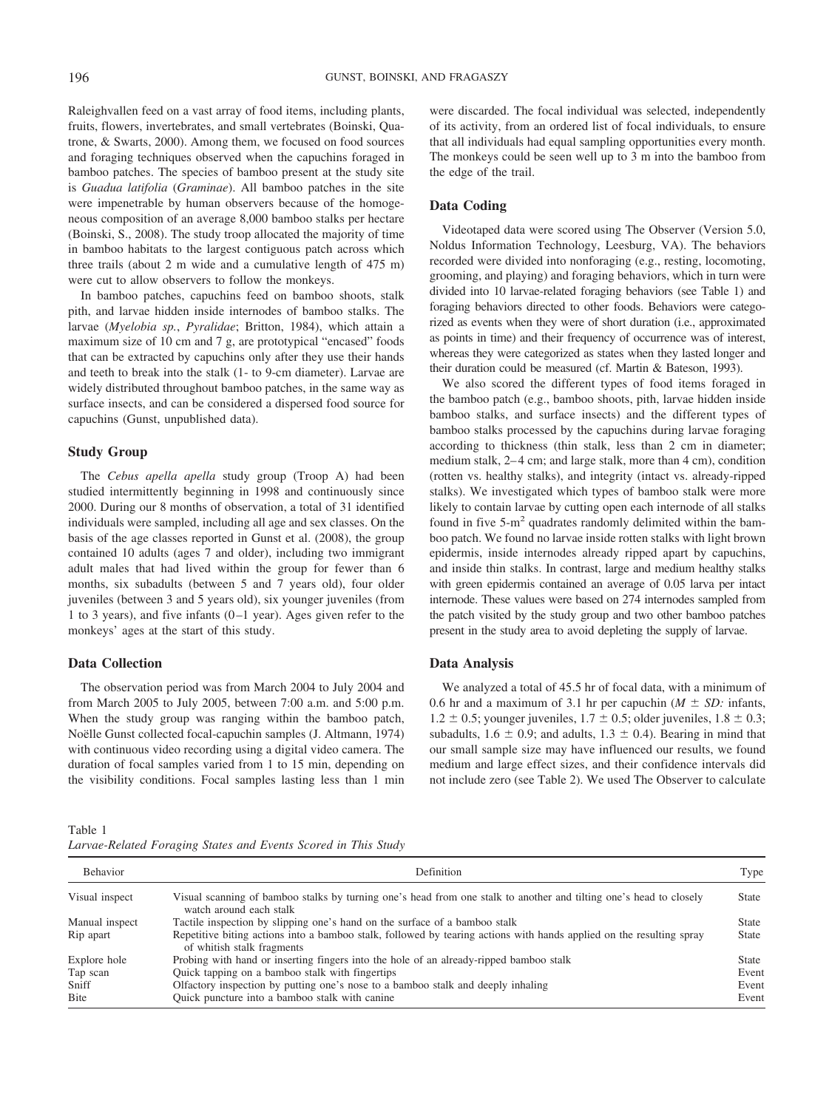Raleighvallen feed on a vast array of food items, including plants, fruits, flowers, invertebrates, and small vertebrates (Boinski, Quatrone, & Swarts, 2000). Among them, we focused on food sources and foraging techniques observed when the capuchins foraged in bamboo patches. The species of bamboo present at the study site is *Guadua latifolia* (*Graminae*). All bamboo patches in the site were impenetrable by human observers because of the homogeneous composition of an average 8,000 bamboo stalks per hectare (Boinski, S., 2008). The study troop allocated the majority of time in bamboo habitats to the largest contiguous patch across which three trails (about 2 m wide and a cumulative length of 475 m) were cut to allow observers to follow the monkeys.

In bamboo patches, capuchins feed on bamboo shoots, stalk pith, and larvae hidden inside internodes of bamboo stalks. The larvae (*Myelobia sp.*, *Pyralidae*; Britton, 1984), which attain a maximum size of 10 cm and 7 g, are prototypical "encased" foods that can be extracted by capuchins only after they use their hands and teeth to break into the stalk (1- to 9-cm diameter). Larvae are widely distributed throughout bamboo patches, in the same way as surface insects, and can be considered a dispersed food source for capuchins (Gunst, unpublished data).

## **Study Group**

The *Cebus apella apella* study group (Troop A) had been studied intermittently beginning in 1998 and continuously since 2000. During our 8 months of observation, a total of 31 identified individuals were sampled, including all age and sex classes. On the basis of the age classes reported in Gunst et al. (2008), the group contained 10 adults (ages 7 and older), including two immigrant adult males that had lived within the group for fewer than 6 months, six subadults (between 5 and 7 years old), four older juveniles (between 3 and 5 years old), six younger juveniles (from 1 to 3 years), and five infants (0–1 year). Ages given refer to the monkeys' ages at the start of this study.

#### **Data Collection**

The observation period was from March 2004 to July 2004 and from March 2005 to July 2005, between 7:00 a.m. and 5:00 p.m. When the study group was ranging within the bamboo patch, Noëlle Gunst collected focal-capuchin samples (J. Altmann, 1974) with continuous video recording using a digital video camera. The duration of focal samples varied from 1 to 15 min, depending on the visibility conditions. Focal samples lasting less than 1 min were discarded. The focal individual was selected, independently of its activity, from an ordered list of focal individuals, to ensure that all individuals had equal sampling opportunities every month. The monkeys could be seen well up to 3 m into the bamboo from the edge of the trail.

#### **Data Coding**

Videotaped data were scored using The Observer (Version 5.0, Noldus Information Technology, Leesburg, VA). The behaviors recorded were divided into nonforaging (e.g., resting, locomoting, grooming, and playing) and foraging behaviors, which in turn were divided into 10 larvae-related foraging behaviors (see Table 1) and foraging behaviors directed to other foods. Behaviors were categorized as events when they were of short duration (i.e., approximated as points in time) and their frequency of occurrence was of interest, whereas they were categorized as states when they lasted longer and their duration could be measured (cf. Martin & Bateson, 1993).

We also scored the different types of food items foraged in the bamboo patch (e.g., bamboo shoots, pith, larvae hidden inside bamboo stalks, and surface insects) and the different types of bamboo stalks processed by the capuchins during larvae foraging according to thickness (thin stalk, less than 2 cm in diameter; medium stalk, 2–4 cm; and large stalk, more than 4 cm), condition (rotten vs. healthy stalks), and integrity (intact vs. already-ripped stalks). We investigated which types of bamboo stalk were more likely to contain larvae by cutting open each internode of all stalks found in five  $5-m^2$  quadrates randomly delimited within the bamboo patch. We found no larvae inside rotten stalks with light brown epidermis, inside internodes already ripped apart by capuchins, and inside thin stalks. In contrast, large and medium healthy stalks with green epidermis contained an average of 0.05 larva per intact internode. These values were based on 274 internodes sampled from the patch visited by the study group and two other bamboo patches present in the study area to avoid depleting the supply of larvae.

## **Data Analysis**

We analyzed a total of 45.5 hr of focal data, with a minimum of 0.6 hr and a maximum of 3.1 hr per capuchin  $(M \pm SD)$ : infants,  $1.2 \pm 0.5$ ; younger juveniles,  $1.7 \pm 0.5$ ; older juveniles,  $1.8 \pm 0.3$ ; subadults,  $1.6 \pm 0.9$ ; and adults,  $1.3 \pm 0.4$ ). Bearing in mind that our small sample size may have influenced our results, we found medium and large effect sizes, and their confidence intervals did not include zero (see Table 2). We used The Observer to calculate

Table 1

*Larvae-Related Foraging States and Events Scored in This Study*

| Behavior       | Definition                                                                                                                                         | Type  |
|----------------|----------------------------------------------------------------------------------------------------------------------------------------------------|-------|
| Visual inspect | Visual scanning of bamboo stalks by turning one's head from one stalk to another and tilting one's head to closely<br>watch around each stalk      | State |
| Manual inspect | Tactile inspection by slipping one's hand on the surface of a bamboo stalk                                                                         | State |
| Rip apart      | Repetitive biting actions into a bamboo stalk, followed by tearing actions with hands applied on the resulting spray<br>of whitish stalk fragments | State |
| Explore hole   | Probing with hand or inserting fingers into the hole of an already-ripped bamboo stalk                                                             | State |
| Tap scan       | Quick tapping on a bamboo stalk with fingertips                                                                                                    | Event |
| Sniff          | Olfactory inspection by putting one's nose to a bamboo stalk and deeply inhaling                                                                   | Event |
| Bite           | Quick puncture into a bamboo stalk with canine                                                                                                     | Event |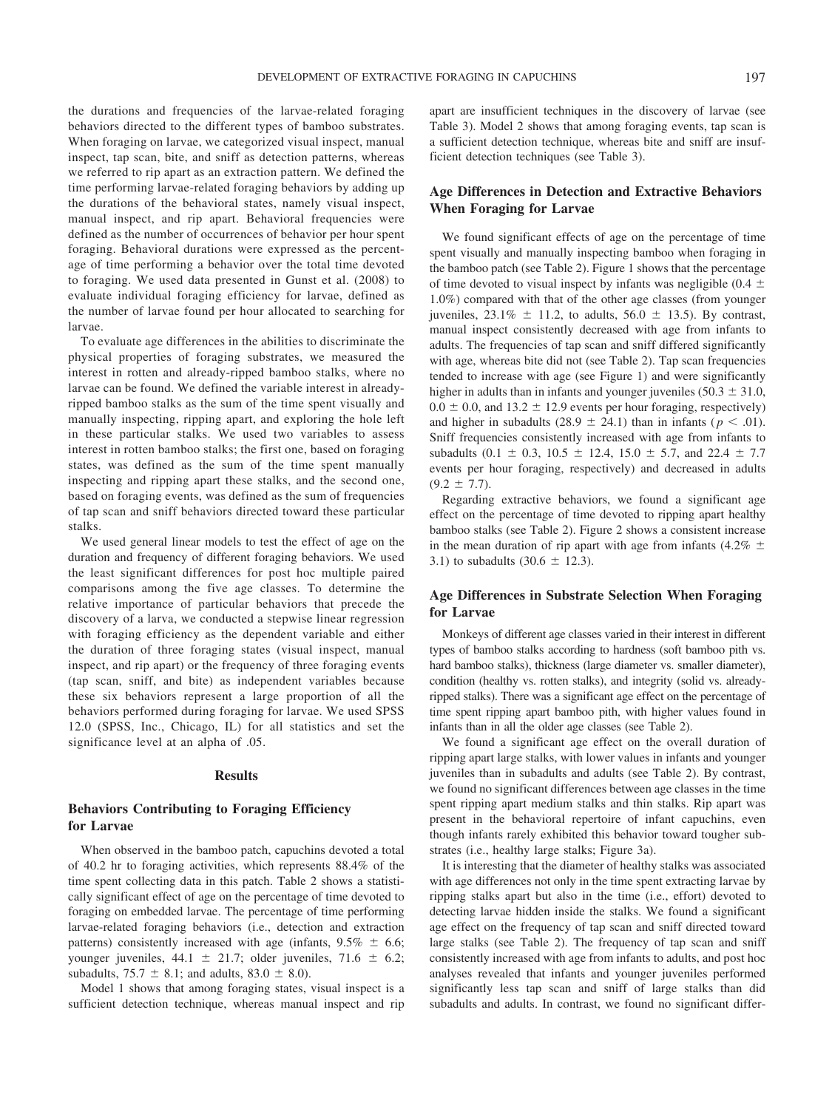the durations and frequencies of the larvae-related foraging behaviors directed to the different types of bamboo substrates. When foraging on larvae, we categorized visual inspect, manual inspect, tap scan, bite, and sniff as detection patterns, whereas we referred to rip apart as an extraction pattern. We defined the time performing larvae-related foraging behaviors by adding up the durations of the behavioral states, namely visual inspect, manual inspect, and rip apart. Behavioral frequencies were defined as the number of occurrences of behavior per hour spent foraging. Behavioral durations were expressed as the percentage of time performing a behavior over the total time devoted to foraging. We used data presented in Gunst et al. (2008) to evaluate individual foraging efficiency for larvae, defined as the number of larvae found per hour allocated to searching for larvae.

To evaluate age differences in the abilities to discriminate the physical properties of foraging substrates, we measured the interest in rotten and already-ripped bamboo stalks, where no larvae can be found. We defined the variable interest in alreadyripped bamboo stalks as the sum of the time spent visually and manually inspecting, ripping apart, and exploring the hole left in these particular stalks. We used two variables to assess interest in rotten bamboo stalks; the first one, based on foraging states, was defined as the sum of the time spent manually inspecting and ripping apart these stalks, and the second one, based on foraging events, was defined as the sum of frequencies of tap scan and sniff behaviors directed toward these particular stalks.

We used general linear models to test the effect of age on the duration and frequency of different foraging behaviors. We used the least significant differences for post hoc multiple paired comparisons among the five age classes. To determine the relative importance of particular behaviors that precede the discovery of a larva, we conducted a stepwise linear regression with foraging efficiency as the dependent variable and either the duration of three foraging states (visual inspect, manual inspect, and rip apart) or the frequency of three foraging events (tap scan, sniff, and bite) as independent variables because these six behaviors represent a large proportion of all the behaviors performed during foraging for larvae. We used SPSS 12.0 (SPSS, Inc., Chicago, IL) for all statistics and set the significance level at an alpha of .05.

#### **Results**

## **Behaviors Contributing to Foraging Efficiency for Larvae**

When observed in the bamboo patch, capuchins devoted a total of 40.2 hr to foraging activities, which represents 88.4% of the time spent collecting data in this patch. Table 2 shows a statistically significant effect of age on the percentage of time devoted to foraging on embedded larvae. The percentage of time performing larvae-related foraging behaviors (i.e., detection and extraction patterns) consistently increased with age (infants,  $9.5\% \pm 6.6$ ; younger juveniles,  $44.1 \pm 21.7$ ; older juveniles,  $71.6 \pm 6.2$ ; subadults,  $75.7 \pm 8.1$ ; and adults,  $83.0 \pm 8.0$ ).

Model 1 shows that among foraging states, visual inspect is a sufficient detection technique, whereas manual inspect and rip apart are insufficient techniques in the discovery of larvae (see Table 3). Model 2 shows that among foraging events, tap scan is a sufficient detection technique, whereas bite and sniff are insufficient detection techniques (see Table 3).

## **Age Differences in Detection and Extractive Behaviors When Foraging for Larvae**

We found significant effects of age on the percentage of time spent visually and manually inspecting bamboo when foraging in the bamboo patch (see Table 2). Figure 1 shows that the percentage of time devoted to visual inspect by infants was negligible (0.4  $\pm$ 1.0%) compared with that of the other age classes (from younger juveniles,  $23.1\% \pm 11.2$ , to adults,  $56.0 \pm 13.5$ ). By contrast, manual inspect consistently decreased with age from infants to adults. The frequencies of tap scan and sniff differed significantly with age, whereas bite did not (see Table 2). Tap scan frequencies tended to increase with age (see Figure 1) and were significantly higher in adults than in infants and younger juveniles (50.3  $\pm$  31.0,  $0.0 \pm 0.0$ , and  $13.2 \pm 12.9$  events per hour foraging, respectively) and higher in subadults  $(28.9 \pm 24.1)$  than in infants  $(p < .01)$ . Sniff frequencies consistently increased with age from infants to subadults (0.1  $\pm$  0.3, 10.5  $\pm$  12.4, 15.0  $\pm$  5.7, and 22.4  $\pm$  7.7 events per hour foraging, respectively) and decreased in adults  $(9.2 \pm 7.7).$ 

Regarding extractive behaviors, we found a significant age effect on the percentage of time devoted to ripping apart healthy bamboo stalks (see Table 2). Figure 2 shows a consistent increase in the mean duration of rip apart with age from infants (4.2%  $\pm$ 3.1) to subadults  $(30.6 \pm 12.3)$ .

## **Age Differences in Substrate Selection When Foraging for Larvae**

Monkeys of different age classes varied in their interest in different types of bamboo stalks according to hardness (soft bamboo pith vs. hard bamboo stalks), thickness (large diameter vs. smaller diameter), condition (healthy vs. rotten stalks), and integrity (solid vs. alreadyripped stalks). There was a significant age effect on the percentage of time spent ripping apart bamboo pith, with higher values found in infants than in all the older age classes (see Table 2).

We found a significant age effect on the overall duration of ripping apart large stalks, with lower values in infants and younger juveniles than in subadults and adults (see Table 2). By contrast, we found no significant differences between age classes in the time spent ripping apart medium stalks and thin stalks. Rip apart was present in the behavioral repertoire of infant capuchins, even though infants rarely exhibited this behavior toward tougher substrates (i.e., healthy large stalks; Figure 3a).

It is interesting that the diameter of healthy stalks was associated with age differences not only in the time spent extracting larvae by ripping stalks apart but also in the time (i.e., effort) devoted to detecting larvae hidden inside the stalks. We found a significant age effect on the frequency of tap scan and sniff directed toward large stalks (see Table 2). The frequency of tap scan and sniff consistently increased with age from infants to adults, and post hoc analyses revealed that infants and younger juveniles performed significantly less tap scan and sniff of large stalks than did subadults and adults. In contrast, we found no significant differ-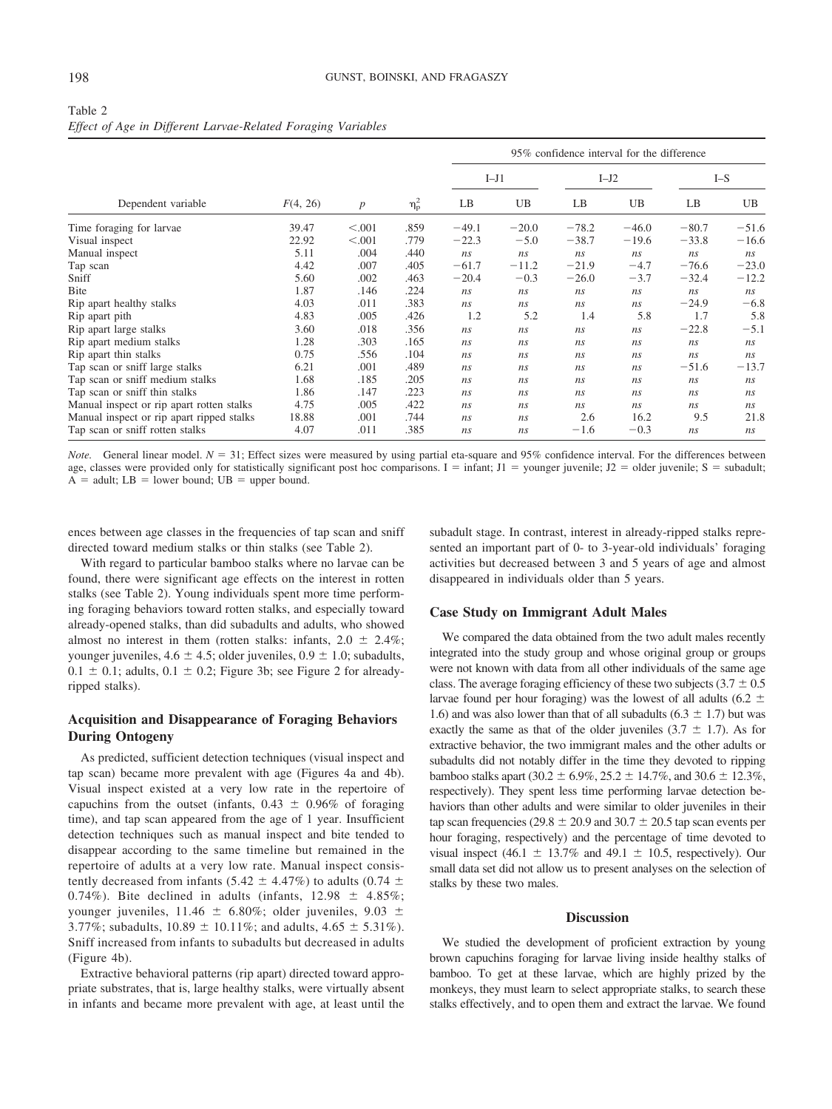| Table 2 |  |                                                              |  |
|---------|--|--------------------------------------------------------------|--|
|         |  | Effect of Age in Different Larvae-Related Foraging Variables |  |

|                                           |          |                  | $\eta_p^2$ | 95% confidence interval for the difference |         |         |         |         |         |  |
|-------------------------------------------|----------|------------------|------------|--------------------------------------------|---------|---------|---------|---------|---------|--|
|                                           |          |                  |            | $I-J1$                                     |         | $I-J2$  |         | $I-S$   |         |  |
| Dependent variable                        | F(4, 26) | $\boldsymbol{p}$ |            | LB                                         | UB      | LB      | UB      | LB      | UB      |  |
| Time foraging for larvae.                 | 39.47    | < 0.001          | .859       | $-49.1$                                    | $-20.0$ | $-78.2$ | $-46.0$ | $-80.7$ | $-51.6$ |  |
| Visual inspect                            | 22.92    | < 0.001          | .779       | $-22.3$                                    | $-5.0$  | $-38.7$ | $-19.6$ | $-33.8$ | $-16.6$ |  |
| Manual inspect                            | 5.11     | .004             | .440       | ns                                         | ns      | ns      | ns      | ns      | ns      |  |
| Tap scan                                  | 4.42     | .007             | .405       | $-61.7$                                    | $-11.2$ | $-21.9$ | $-4.7$  | $-76.6$ | $-23.0$ |  |
| Sniff                                     | 5.60     | .002             | .463       | $-20.4$                                    | $-0.3$  | $-26.0$ | $-3.7$  | $-32.4$ | $-12.2$ |  |
| <b>B</b> ite                              | 1.87     | .146             | .224       | ns                                         | ns      | ns      | ns      | ns      | ns      |  |
| Rip apart healthy stalks                  | 4.03     | .011             | .383       | ns                                         | ns      | ns      | ns      | $-24.9$ | $-6.8$  |  |
| Rip apart pith                            | 4.83     | .005             | .426       | 1.2                                        | 5.2     | 1.4     | 5.8     | 1.7     | 5.8     |  |
| Rip apart large stalks                    | 3.60     | .018             | .356       | ns                                         | ns      | ns      | ns      | $-22.8$ | $-5.1$  |  |
| Rip apart medium stalks                   | 1.28     | .303             | .165       | ns                                         | ns      | ns      | ns      | ns      | ns      |  |
| Rip apart thin stalks                     | 0.75     | .556             | .104       | ns                                         | ns      | ns      | ns      | ns      | ns      |  |
| Tap scan or sniff large stalks            | 6.21     | .001             | .489       | ns                                         | ns      | ns      | ns      | $-51.6$ | $-13.7$ |  |
| Tap scan or sniff medium stalks           | 1.68     | .185             | .205       | ns                                         | ns      | ns      | ns      | ns      | ns      |  |
| Tap scan or sniff thin stalks             | 1.86     | .147             | .223       | ns                                         | ns      | ns      | ns      | ns      | ns      |  |
| Manual inspect or rip apart rotten stalks | 4.75     | .005             | .422       | ns                                         | ns      | ns      | ns      | ns      | ns      |  |
| Manual inspect or rip apart ripped stalks | 18.88    | .001             | .744       | ns                                         | ns      | 2.6     | 16.2    | 9.5     | 21.8    |  |
| Tap scan or sniff rotten stalks           | 4.07     | .011             | .385       | ns                                         | ns      | $-1.6$  | $-0.3$  | ns      | ns      |  |

*Note.* General linear model.  $N = 31$ ; Effect sizes were measured by using partial eta-square and 95% confidence interval. For the differences between age, classes were provided only for statistically significant post hoc comparisons. I = infant; J1 = younger juvenile; J2 = older juvenile; S = subadult;  $A =$  adult;  $LB =$  lower bound;  $UB =$  upper bound.

ences between age classes in the frequencies of tap scan and sniff directed toward medium stalks or thin stalks (see Table 2).

With regard to particular bamboo stalks where no larvae can be found, there were significant age effects on the interest in rotten stalks (see Table 2). Young individuals spent more time performing foraging behaviors toward rotten stalks, and especially toward already-opened stalks, than did subadults and adults, who showed almost no interest in them (rotten stalks: infants,  $2.0 \pm 2.4\%$ ; younger juveniles,  $4.6 \pm 4.5$ ; older juveniles,  $0.9 \pm 1.0$ ; subadults,  $0.1 \pm 0.1$ ; adults,  $0.1 \pm 0.2$ ; Figure 3b; see Figure 2 for alreadyripped stalks).

## **Acquisition and Disappearance of Foraging Behaviors During Ontogeny**

As predicted, sufficient detection techniques (visual inspect and tap scan) became more prevalent with age (Figures 4a and 4b). Visual inspect existed at a very low rate in the repertoire of capuchins from the outset (infants,  $0.43 \pm 0.96\%$  of foraging time), and tap scan appeared from the age of 1 year. Insufficient detection techniques such as manual inspect and bite tended to disappear according to the same timeline but remained in the repertoire of adults at a very low rate. Manual inspect consistently decreased from infants (5.42  $\pm$  4.47%) to adults (0.74  $\pm$ 0.74%). Bite declined in adults (infants,  $12.98 \pm 4.85\%$ ; younger juveniles,  $11.46 \pm 6.80\%$ ; older juveniles,  $9.03 \pm 1.46$ 3.77%; subadults,  $10.89 \pm 10.11\%$ ; and adults,  $4.65 \pm 5.31\%$ ). Sniff increased from infants to subadults but decreased in adults (Figure 4b).

Extractive behavioral patterns (rip apart) directed toward appropriate substrates, that is, large healthy stalks, were virtually absent in infants and became more prevalent with age, at least until the subadult stage. In contrast, interest in already-ripped stalks represented an important part of 0- to 3-year-old individuals' foraging activities but decreased between 3 and 5 years of age and almost disappeared in individuals older than 5 years.

#### **Case Study on Immigrant Adult Males**

We compared the data obtained from the two adult males recently integrated into the study group and whose original group or groups were not known with data from all other individuals of the same age class. The average foraging efficiency of these two subjects  $(3.7 \pm 0.5)$ larvae found per hour foraging) was the lowest of all adults (6.2  $\pm$ 1.6) and was also lower than that of all subadults (6.3  $\pm$  1.7) but was exactly the same as that of the older juveniles  $(3.7 \pm 1.7)$ . As for extractive behavior, the two immigrant males and the other adults or subadults did not notably differ in the time they devoted to ripping bamboo stalks apart (30.2  $\pm$  6.9%, 25.2  $\pm$  14.7%, and 30.6  $\pm$  12.3%, respectively). They spent less time performing larvae detection behaviors than other adults and were similar to older juveniles in their tap scan frequencies ( $29.8 \pm 20.9$  and  $30.7 \pm 20.5$  tap scan events per hour foraging, respectively) and the percentage of time devoted to visual inspect (46.1  $\pm$  13.7% and 49.1  $\pm$  10.5, respectively). Our small data set did not allow us to present analyses on the selection of stalks by these two males.

#### **Discussion**

We studied the development of proficient extraction by young brown capuchins foraging for larvae living inside healthy stalks of bamboo. To get at these larvae, which are highly prized by the monkeys, they must learn to select appropriate stalks, to search these stalks effectively, and to open them and extract the larvae. We found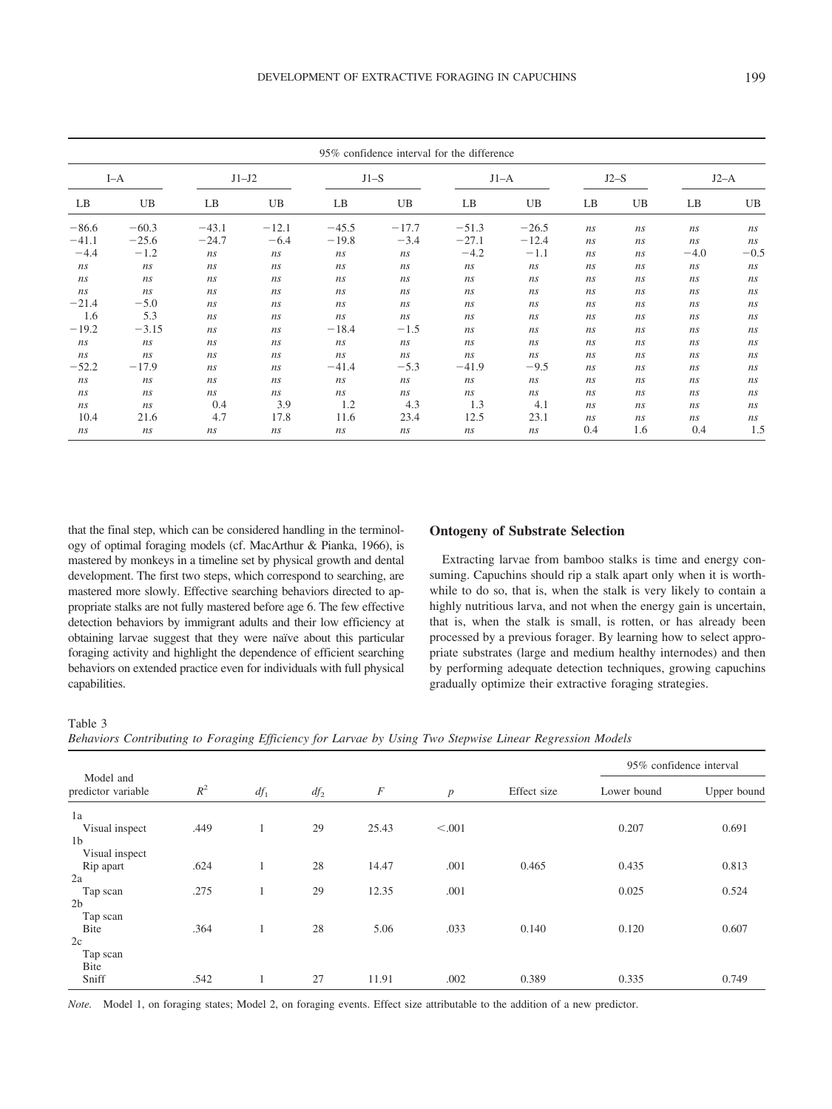|         |         |         |         |         |         | 95% confidence interval for the difference |         |     |        |        |        |  |
|---------|---------|---------|---------|---------|---------|--------------------------------------------|---------|-----|--------|--------|--------|--|
| $I-A$   |         |         | $J1-J2$ |         | $J1-S$  |                                            | $J1-A$  |     | $J2-S$ |        | $J2-A$ |  |
| LB      | UB      | LB      | UB      | LB      | UB      | LB                                         | UB      | LB  | UB     | LB     | UB     |  |
| $-86.6$ | $-60.3$ | $-43.1$ | $-12.1$ | $-45.5$ | $-17.7$ | $-51.3$                                    | $-26.5$ | ns  | ns     | ns     | ns     |  |
| $-41.1$ | $-25.6$ | $-24.7$ | $-6.4$  | $-19.8$ | $-3.4$  | $-27.1$                                    | $-12.4$ | ns  | ns     | ns     | ns     |  |
| $-4.4$  | $-1.2$  | ns      | ns      | ns      | ns      | $-4.2$                                     | $-1.1$  | ns  | ns     | $-4.0$ | $-0.5$ |  |
| ns      | ns      | ns      | ns      | ns      | ns      | ns                                         | ns      | ns  | ns     | ns     | ns     |  |
| ns      | ns      | ns      | ns      | ns      | ns      | ns                                         | ns      | ns  | ns     | ns     | ns     |  |
| ns      | ns      | ns      | ns      | ns      | ns      | ns                                         | ns      | ns  | ns     | ns     | ns     |  |
| $-21.4$ | $-5.0$  | ns      | ns      | ns      | ns      | ns                                         | ns      | ns  | ns     | ns     | ns     |  |
| 1.6     | 5.3     | ns      | ns      | ns      | ns      | ns                                         | ns      | ns  | ns     | ns     | ns     |  |
| $-19.2$ | $-3.15$ | ns      | ns      | $-18.4$ | $-1.5$  | ns                                         | ns      | ns  | ns     | ns     | ns     |  |
| ns      | ns      | ns      | ns      | ns      | ns      | ns                                         | ns      | ns  | ns     | ns     | ns     |  |
| ns      | ns      | ns      | ns      | ns      | ns      | ns                                         | ns      | ns  | ns     | ns     | ns     |  |
| $-52.2$ | $-17.9$ | ns      | ns      | $-41.4$ | $-5.3$  | $-41.9$                                    | $-9.5$  | ns  | ns     | ns     | ns     |  |
| ns      | ns      | ns      | ns      | ns      | ns      | ns                                         | ns      | ns  | ns     | ns     | ns     |  |
| ns      | ns      | ns      | ns      | ns      | ns      | ns                                         | ns      | ns  | ns     | ns     | ns     |  |
| ns      | ns      | 0.4     | 3.9     | 1.2     | 4.3     | 1.3                                        | 4.1     | ns  | ns     | ns     | ns     |  |
| 10.4    | 21.6    | 4.7     | 17.8    | 11.6    | 23.4    | 12.5                                       | 23.1    | ns  | ns     | ns     | ns     |  |
| ns      | ns      | ns      | ns      | ns      | ns      | ns                                         | ns      | 0.4 | 1.6    | 0.4    | 1.5    |  |

that the final step, which can be considered handling in the terminology of optimal foraging models (cf. MacArthur & Pianka, 1966), is mastered by monkeys in a timeline set by physical growth and dental development. The first two steps, which correspond to searching, are mastered more slowly. Effective searching behaviors directed to appropriate stalks are not fully mastered before age 6. The few effective detection behaviors by immigrant adults and their low efficiency at obtaining larvae suggest that they were naïve about this particular foraging activity and highlight the dependence of efficient searching behaviors on extended practice even for individuals with full physical capabilities.

#### **Ontogeny of Substrate Selection**

Extracting larvae from bamboo stalks is time and energy consuming. Capuchins should rip a stalk apart only when it is worthwhile to do so, that is, when the stalk is very likely to contain a highly nutritious larva, and not when the energy gain is uncertain, that is, when the stalk is small, is rotten, or has already been processed by a previous forager. By learning how to select appropriate substrates (large and medium healthy internodes) and then by performing adequate detection techniques, growing capuchins gradually optimize their extractive foraging strategies.

Table 3

*Behaviors Contributing to Foraging Efficiency for Larvae by Using Two Stepwise Linear Regression Models*

|                                 |       | $df_1$ | $df_2$ | $\cal F$ | $\boldsymbol{p}$ | Effect size | 95% confidence interval |             |  |
|---------------------------------|-------|--------|--------|----------|------------------|-------------|-------------------------|-------------|--|
| Model and<br>predictor variable | $R^2$ |        |        |          |                  |             | Lower bound             | Upper bound |  |
| 1a                              |       |        |        |          |                  |             |                         |             |  |
| Visual inspect                  | .449  |        | 29     | 25.43    | < .001           |             | 0.207                   | 0.691       |  |
| 1 <sub>b</sub>                  |       |        |        |          |                  |             |                         |             |  |
| Visual inspect                  |       |        |        |          |                  |             |                         |             |  |
| Rip apart                       | .624  |        | 28     | 14.47    | .001             | 0.465       | 0.435                   | 0.813       |  |
| 2a                              |       |        |        |          |                  |             |                         |             |  |
| Tap scan                        | .275  |        | 29     | 12.35    | .001             |             | 0.025                   | 0.524       |  |
| 2 <sub>b</sub>                  |       |        |        |          |                  |             |                         |             |  |
| Tap scan                        |       |        |        |          |                  |             |                         |             |  |
| <b>Bite</b>                     | .364  |        | 28     | 5.06     | .033             | 0.140       | 0.120                   | 0.607       |  |
| 2c                              |       |        |        |          |                  |             |                         |             |  |
| Tap scan                        |       |        |        |          |                  |             |                         |             |  |
| <b>Bite</b>                     |       |        |        |          |                  |             |                         |             |  |
| Sniff                           | .542  |        | 27     | 11.91    | .002             | 0.389       | 0.335                   | 0.749       |  |

*Note.* Model 1, on foraging states; Model 2, on foraging events. Effect size attributable to the addition of a new predictor.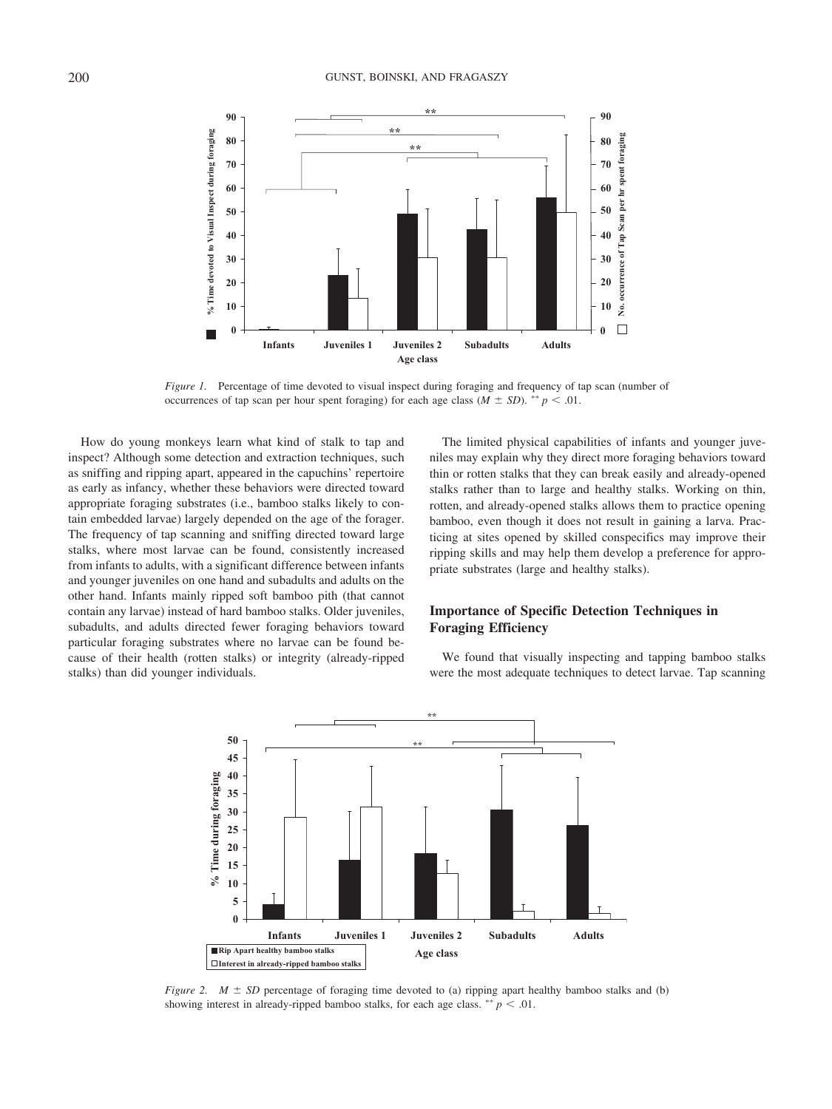

*Figure 1.* Percentage of time devoted to visual inspect during foraging and frequency of tap scan (number of occurrences of tap scan per hour spent foraging) for each age class  $(M \pm SD)$ . <sup>\*\*</sup>  $p < .01$ .

How do young monkeys learn what kind of stalk to tap and inspect? Although some detection and extraction techniques, such as sniffing and ripping apart, appeared in the capuchins' repertoire as early as infancy, whether these behaviors were directed toward appropriate foraging substrates (i.e., bamboo stalks likely to contain embedded larvae) largely depended on the age of the forager. The frequency of tap scanning and sniffing directed toward large stalks, where most larvae can be found, consistently increased from infants to adults, with a significant difference between infants and younger juveniles on one hand and subadults and adults on the other hand. Infants mainly ripped soft bamboo pith (that cannot contain any larvae) instead of hard bamboo stalks. Older juveniles, subadults, and adults directed fewer foraging behaviors toward particular foraging substrates where no larvae can be found because of their health (rotten stalks) or integrity (already-ripped stalks) than did younger individuals.

The limited physical capabilities of infants and younger juveniles may explain why they direct more foraging behaviors toward thin or rotten stalks that they can break easily and already-opened stalks rather than to large and healthy stalks. Working on thin, rotten, and already-opened stalks allows them to practice opening bamboo, even though it does not result in gaining a larva. Practicing at sites opened by skilled conspecifics may improve their ripping skills and may help them develop a preference for appropriate substrates (large and healthy stalks).

# **Importance of Specific Detection Techniques in Foraging Efficiency**

We found that visually inspecting and tapping bamboo stalks were the most adequate techniques to detect larvae. Tap scanning



*Figure 2. M*  $\pm$  *SD* percentage of foraging time devoted to (a) ripping apart healthy bamboo stalks and (b) showing interest in already-ripped bamboo stalks, for each age class.  $\sqrt[n]{p}$  < .01.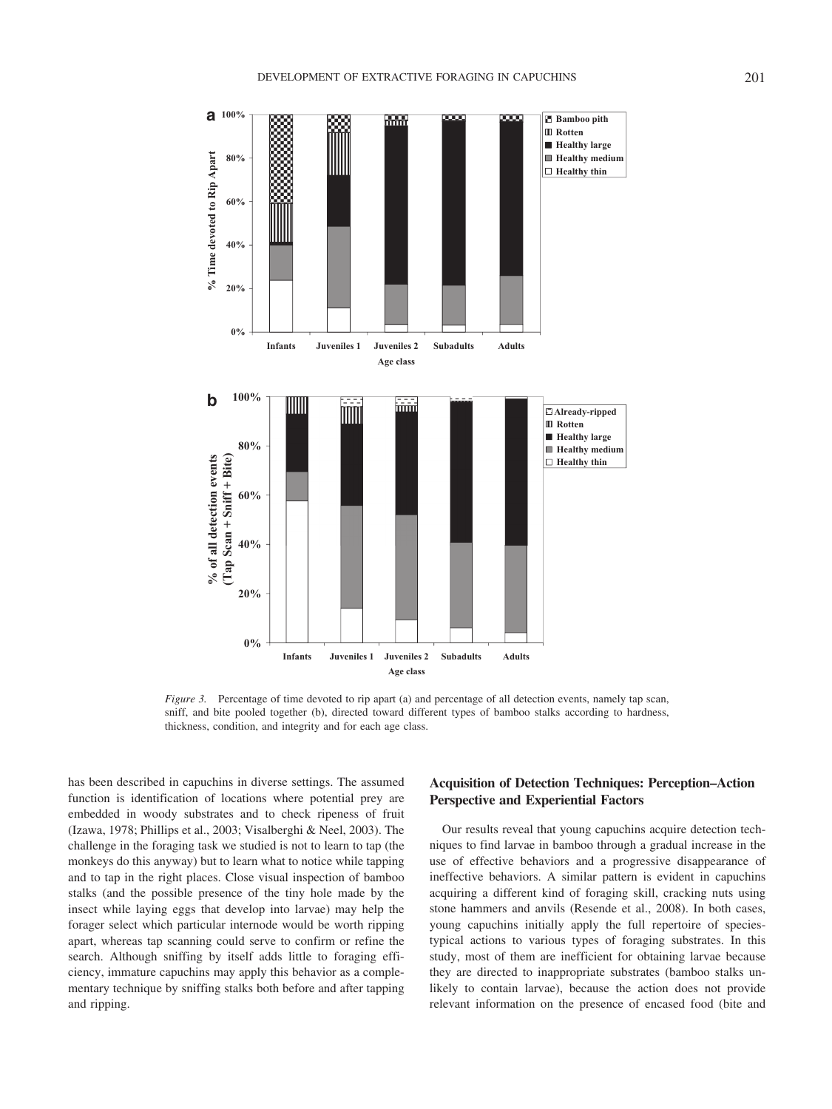

*Figure 3.* Percentage of time devoted to rip apart (a) and percentage of all detection events, namely tap scan, sniff, and bite pooled together (b), directed toward different types of bamboo stalks according to hardness, thickness, condition, and integrity and for each age class.

has been described in capuchins in diverse settings. The assumed function is identification of locations where potential prey are embedded in woody substrates and to check ripeness of fruit (Izawa, 1978; Phillips et al., 2003; Visalberghi & Neel, 2003). The challenge in the foraging task we studied is not to learn to tap (the monkeys do this anyway) but to learn what to notice while tapping and to tap in the right places. Close visual inspection of bamboo stalks (and the possible presence of the tiny hole made by the insect while laying eggs that develop into larvae) may help the forager select which particular internode would be worth ripping apart, whereas tap scanning could serve to confirm or refine the search. Although sniffing by itself adds little to foraging efficiency, immature capuchins may apply this behavior as a complementary technique by sniffing stalks both before and after tapping and ripping.

## **Acquisition of Detection Techniques: Perception–Action Perspective and Experiential Factors**

Our results reveal that young capuchins acquire detection techniques to find larvae in bamboo through a gradual increase in the use of effective behaviors and a progressive disappearance of ineffective behaviors. A similar pattern is evident in capuchins acquiring a different kind of foraging skill, cracking nuts using stone hammers and anvils (Resende et al., 2008). In both cases, young capuchins initially apply the full repertoire of speciestypical actions to various types of foraging substrates. In this study, most of them are inefficient for obtaining larvae because they are directed to inappropriate substrates (bamboo stalks unlikely to contain larvae), because the action does not provide relevant information on the presence of encased food (bite and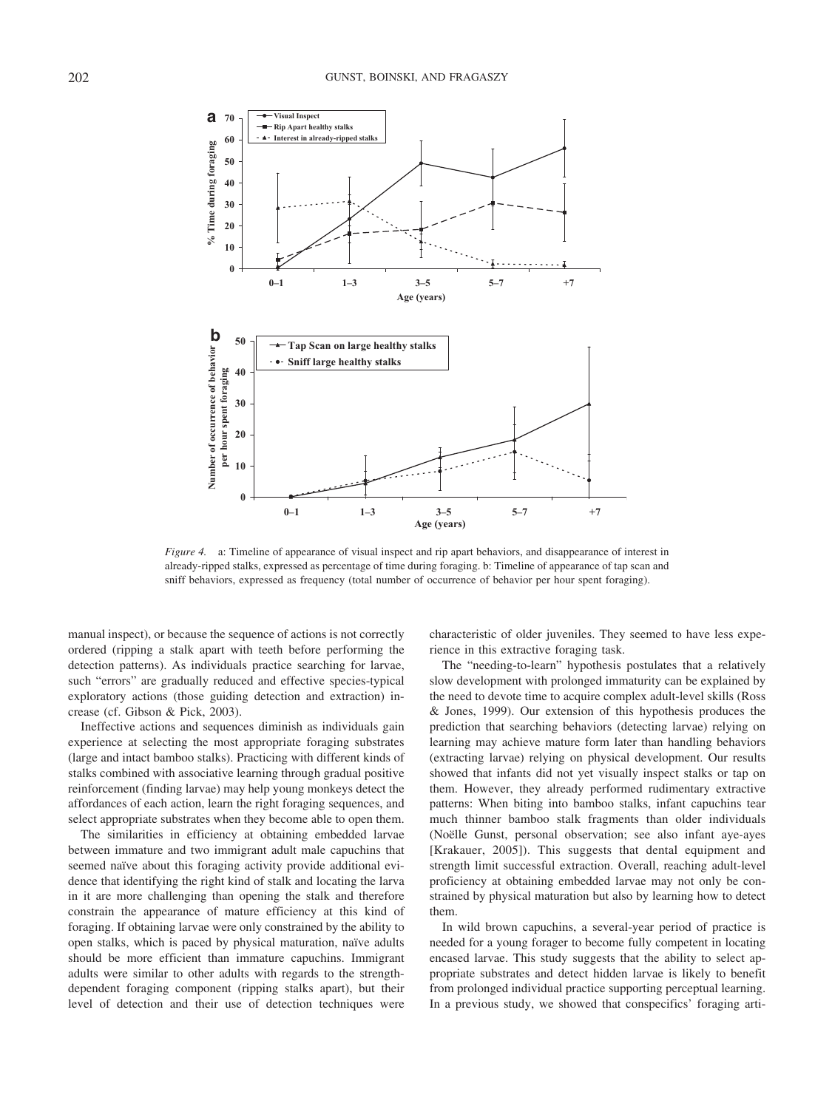

*Figure 4.* a: Timeline of appearance of visual inspect and rip apart behaviors, and disappearance of interest in already-ripped stalks, expressed as percentage of time during foraging. b: Timeline of appearance of tap scan and sniff behaviors, expressed as frequency (total number of occurrence of behavior per hour spent foraging).

manual inspect), or because the sequence of actions is not correctly ordered (ripping a stalk apart with teeth before performing the detection patterns). As individuals practice searching for larvae, such "errors" are gradually reduced and effective species-typical exploratory actions (those guiding detection and extraction) increase (cf. Gibson & Pick, 2003).

Ineffective actions and sequences diminish as individuals gain experience at selecting the most appropriate foraging substrates (large and intact bamboo stalks). Practicing with different kinds of stalks combined with associative learning through gradual positive reinforcement (finding larvae) may help young monkeys detect the affordances of each action, learn the right foraging sequences, and select appropriate substrates when they become able to open them.

The similarities in efficiency at obtaining embedded larvae between immature and two immigrant adult male capuchins that seemed naïve about this foraging activity provide additional evidence that identifying the right kind of stalk and locating the larva in it are more challenging than opening the stalk and therefore constrain the appearance of mature efficiency at this kind of foraging. If obtaining larvae were only constrained by the ability to open stalks, which is paced by physical maturation, naïve adults should be more efficient than immature capuchins. Immigrant adults were similar to other adults with regards to the strengthdependent foraging component (ripping stalks apart), but their level of detection and their use of detection techniques were characteristic of older juveniles. They seemed to have less experience in this extractive foraging task.

The "needing-to-learn" hypothesis postulates that a relatively slow development with prolonged immaturity can be explained by the need to devote time to acquire complex adult-level skills (Ross & Jones, 1999). Our extension of this hypothesis produces the prediction that searching behaviors (detecting larvae) relying on learning may achieve mature form later than handling behaviors (extracting larvae) relying on physical development. Our results showed that infants did not yet visually inspect stalks or tap on them. However, they already performed rudimentary extractive patterns: When biting into bamboo stalks, infant capuchins tear much thinner bamboo stalk fragments than older individuals (Noëlle Gunst, personal observation; see also infant aye-ayes [Krakauer, 2005]). This suggests that dental equipment and strength limit successful extraction. Overall, reaching adult-level proficiency at obtaining embedded larvae may not only be constrained by physical maturation but also by learning how to detect them.

In wild brown capuchins, a several-year period of practice is needed for a young forager to become fully competent in locating encased larvae. This study suggests that the ability to select appropriate substrates and detect hidden larvae is likely to benefit from prolonged individual practice supporting perceptual learning. In a previous study, we showed that conspecifics' foraging arti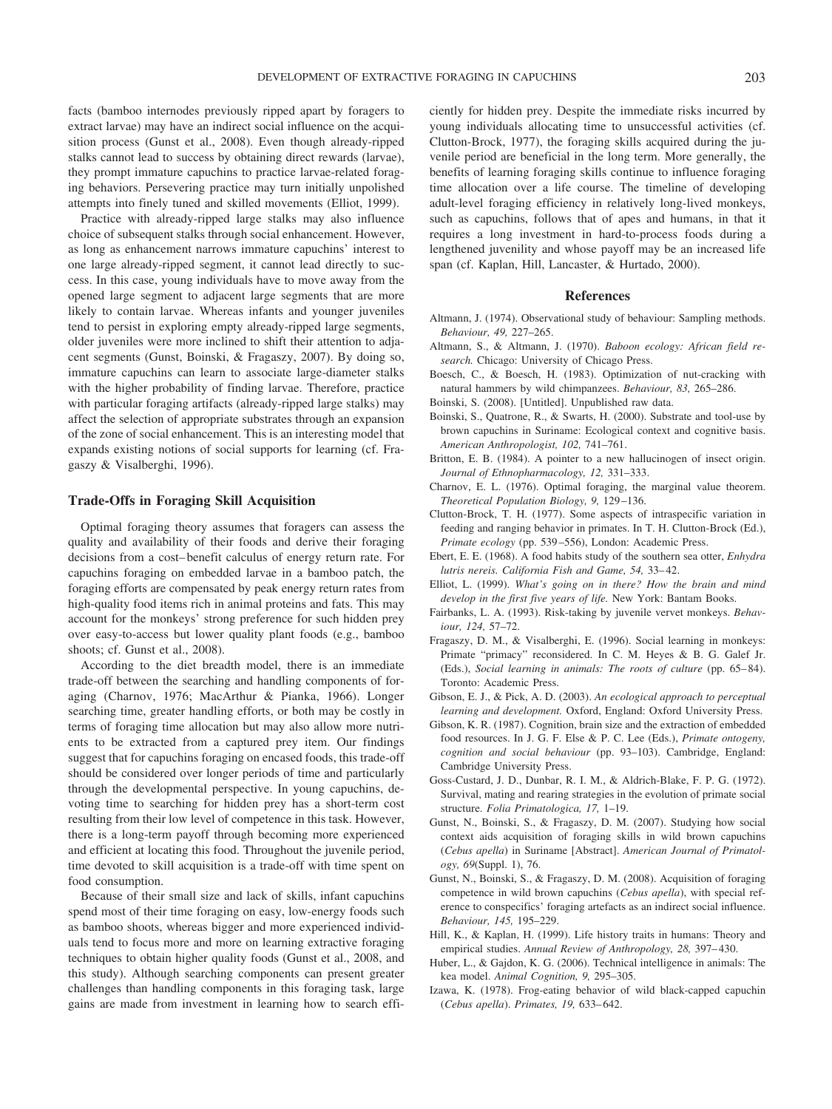facts (bamboo internodes previously ripped apart by foragers to extract larvae) may have an indirect social influence on the acquisition process (Gunst et al., 2008). Even though already-ripped stalks cannot lead to success by obtaining direct rewards (larvae), they prompt immature capuchins to practice larvae-related foraging behaviors. Persevering practice may turn initially unpolished attempts into finely tuned and skilled movements (Elliot, 1999).

Practice with already-ripped large stalks may also influence choice of subsequent stalks through social enhancement. However, as long as enhancement narrows immature capuchins' interest to one large already-ripped segment, it cannot lead directly to success. In this case, young individuals have to move away from the opened large segment to adjacent large segments that are more likely to contain larvae. Whereas infants and younger juveniles tend to persist in exploring empty already-ripped large segments, older juveniles were more inclined to shift their attention to adjacent segments (Gunst, Boinski, & Fragaszy, 2007). By doing so, immature capuchins can learn to associate large-diameter stalks with the higher probability of finding larvae. Therefore, practice with particular foraging artifacts (already-ripped large stalks) may affect the selection of appropriate substrates through an expansion of the zone of social enhancement. This is an interesting model that expands existing notions of social supports for learning (cf. Fragaszy & Visalberghi, 1996).

#### **Trade-Offs in Foraging Skill Acquisition**

Optimal foraging theory assumes that foragers can assess the quality and availability of their foods and derive their foraging decisions from a cost–benefit calculus of energy return rate. For capuchins foraging on embedded larvae in a bamboo patch, the foraging efforts are compensated by peak energy return rates from high-quality food items rich in animal proteins and fats. This may account for the monkeys' strong preference for such hidden prey over easy-to-access but lower quality plant foods (e.g., bamboo shoots; cf. Gunst et al., 2008).

According to the diet breadth model, there is an immediate trade-off between the searching and handling components of foraging (Charnov, 1976; MacArthur & Pianka, 1966). Longer searching time, greater handling efforts, or both may be costly in terms of foraging time allocation but may also allow more nutrients to be extracted from a captured prey item. Our findings suggest that for capuchins foraging on encased foods, this trade-off should be considered over longer periods of time and particularly through the developmental perspective. In young capuchins, devoting time to searching for hidden prey has a short-term cost resulting from their low level of competence in this task. However, there is a long-term payoff through becoming more experienced and efficient at locating this food. Throughout the juvenile period, time devoted to skill acquisition is a trade-off with time spent on food consumption.

Because of their small size and lack of skills, infant capuchins spend most of their time foraging on easy, low-energy foods such as bamboo shoots, whereas bigger and more experienced individuals tend to focus more and more on learning extractive foraging techniques to obtain higher quality foods (Gunst et al., 2008, and this study). Although searching components can present greater challenges than handling components in this foraging task, large gains are made from investment in learning how to search efficiently for hidden prey. Despite the immediate risks incurred by young individuals allocating time to unsuccessful activities (cf. Clutton-Brock, 1977), the foraging skills acquired during the juvenile period are beneficial in the long term. More generally, the benefits of learning foraging skills continue to influence foraging time allocation over a life course. The timeline of developing adult-level foraging efficiency in relatively long-lived monkeys, such as capuchins, follows that of apes and humans, in that it requires a long investment in hard-to-process foods during a lengthened juvenility and whose payoff may be an increased life span (cf. Kaplan, Hill, Lancaster, & Hurtado, 2000).

#### **References**

- Altmann, J. (1974). Observational study of behaviour: Sampling methods. *Behaviour, 49,* 227–265.
- Altmann, S., & Altmann, J. (1970). *Baboon ecology: African field research.* Chicago: University of Chicago Press.
- Boesch, C., & Boesch, H. (1983). Optimization of nut-cracking with natural hammers by wild chimpanzees. *Behaviour, 83,* 265–286.
- Boinski, S. (2008). [Untitled]. Unpublished raw data.
- Boinski, S., Quatrone, R., & Swarts, H. (2000). Substrate and tool-use by brown capuchins in Suriname: Ecological context and cognitive basis. *American Anthropologist, 102,* 741–761.
- Britton, E. B. (1984). A pointer to a new hallucinogen of insect origin. *Journal of Ethnopharmacology, 12,* 331–333.
- Charnov, E. L. (1976). Optimal foraging, the marginal value theorem. *Theoretical Population Biology, 9,* 129–136.
- Clutton-Brock, T. H. (1977). Some aspects of intraspecific variation in feeding and ranging behavior in primates. In T. H. Clutton-Brock (Ed.), *Primate ecology* (pp. 539–556), London: Academic Press.
- Ebert, E. E. (1968). A food habits study of the southern sea otter, *Enhydra lutris nereis. California Fish and Game, 54,* 33–42.
- Elliot, L. (1999). *What's going on in there? How the brain and mind develop in the first five years of life.* New York: Bantam Books.
- Fairbanks, L. A. (1993). Risk-taking by juvenile vervet monkeys. *Behaviour, 124,* 57–72.
- Fragaszy, D. M., & Visalberghi, E. (1996). Social learning in monkeys: Primate "primacy" reconsidered. In C. M. Heyes & B. G. Galef Jr. (Eds.), *Social learning in animals: The roots of culture* (pp. 65–84). Toronto: Academic Press.
- Gibson, E. J., & Pick, A. D. (2003). *An ecological approach to perceptual learning and development.* Oxford, England: Oxford University Press.
- Gibson, K. R. (1987). Cognition, brain size and the extraction of embedded food resources. In J. G. F. Else & P. C. Lee (Eds.), *Primate ontogeny, cognition and social behaviour* (pp. 93–103). Cambridge, England: Cambridge University Press.
- Goss-Custard, J. D., Dunbar, R. I. M., & Aldrich-Blake, F. P. G. (1972). Survival, mating and rearing strategies in the evolution of primate social structure. *Folia Primatologica, 17,* 1–19.
- Gunst, N., Boinski, S., & Fragaszy, D. M. (2007). Studying how social context aids acquisition of foraging skills in wild brown capuchins (*Cebus apella*) in Suriname [Abstract]. *American Journal of Primatology, 69*(Suppl. 1), 76.
- Gunst, N., Boinski, S., & Fragaszy, D. M. (2008). Acquisition of foraging competence in wild brown capuchins (*Cebus apella*), with special reference to conspecifics' foraging artefacts as an indirect social influence. *Behaviour, 145,* 195–229.
- Hill, K., & Kaplan, H. (1999). Life history traits in humans: Theory and empirical studies. *Annual Review of Anthropology, 28,* 397–430.
- Huber, L., & Gajdon, K. G. (2006). Technical intelligence in animals: The kea model. *Animal Cognition, 9,* 295–305.
- Izawa, K. (1978). Frog-eating behavior of wild black-capped capuchin (*Cebus apella*). *Primates, 19,* 633–642.